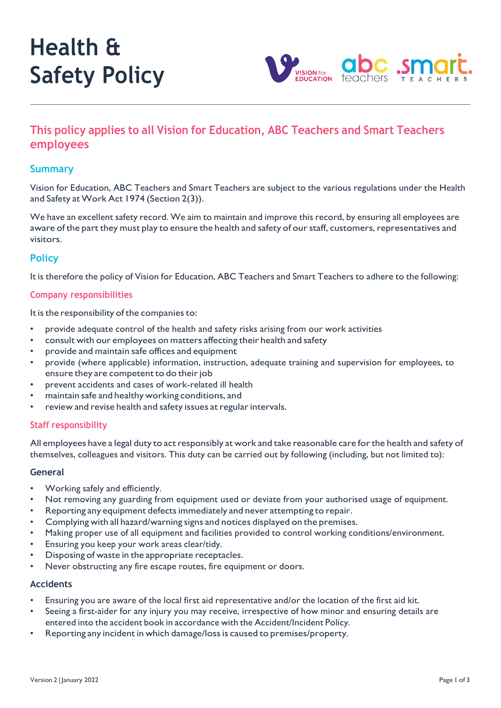# **Health & Safety Policy**



# **This policy applies to all Vision for Education, ABC Teachers and Smart Teachers employees**

# **Summary**

Vision for Education, ABC Teachers and Smart Teachers are subject to the various regulations under the Health and Safety at Work Act 1974 (Section 2(3)).

We have an excellent safety record. We aim to maintain and improve this record, by ensuring all employees are aware of the part they must play to ensure the health and safety of our staff, customers, representatives and visitors.

# **Policy**

It is therefore the policy of Vision for Education, ABC Teachers and Smart Teachers to adhere to the following:

#### **Company responsibilities**

It is the responsibility of the companies to:

- provide adequate control of the health and safety risks arising from our work activities
- consult with our employees on matters affecting their health and safety
- provide and maintain safe offices and equipment
- provide (where applicable) information, instruction, adequate training and supervision for employees, to ensure they are competent to do their job
- prevent accidents and cases of work-related ill health
- maintain safe and healthy working conditions, and
- review and revise health and safety issues at regular intervals.

## **Staff responsibility**

All employees have a legal duty to act responsibly at work and take reasonable care for the health and safety of themselves, colleagues and visitors. This duty can be carried out by following (including, but not limited to):

#### **General**

- Working safely and efficiently.
- Not removing any guarding from equipment used or deviate from your authorised usage of equipment.
- Reporting any equipment defectsimmediately and never attempting to repair.
- Complying with all hazard/warning signs and notices displayed on the premises.
- Making proper use of all equipment and facilities provided to control working conditions/environment.
- Ensuring you keep your work areas clear/tidy.
- Disposing of waste in the appropriate receptacles.
- Never obstructing any fire escape routes, fire equipment or doors.

#### **Accidents**

- Ensuring you are aware of the local first aid representative and/or the location of the first aid kit.
- Seeing a first-aider for any injury you may receive, irrespective of how minor and ensuring details are entered into the accident book in accordance with the Accident/Incident Policy.
- Reporting any incident in which damage/lossis caused to premises/property.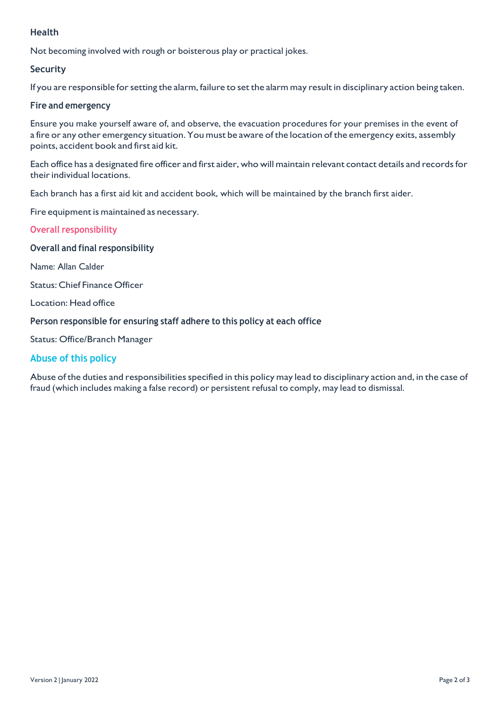# **Health**

Not becoming involved with rough or boisterous play or practical jokes.

# **Security**

If you are responsible for setting the alarm, failure to set the alarm may result in disciplinary action being taken.

### **Fire and emergency**

Ensure you make yourself aware of, and observe, the evacuation procedures for your premises in the event of a fire or any other emergency situation. You must be aware of the location of the emergency exits, assembly points, accident book and first aid kit.

Each office has a designated fire officer and first aider, who will maintain relevant contact details and recordsfor their individual locations.

Each branch has a first aid kit and accident book, which will be maintained by the branch first aider.

#### Fire equipment is maintained as necessary.

#### **Overall responsibility**

#### **Overall and final responsibility**

Name: Allan Calder

Status: Chief Finance Officer

Location: Head office

#### **Person responsible for ensuring staff adhere to this policy at each office**

Status: Office/Branch Manager

# **Abuse of this policy**

Abuse of the duties and responsibilities specified in this policy may lead to disciplinary action and, in the case of fraud (which includes making a false record) or persistent refusal to comply, may lead to dismissal.